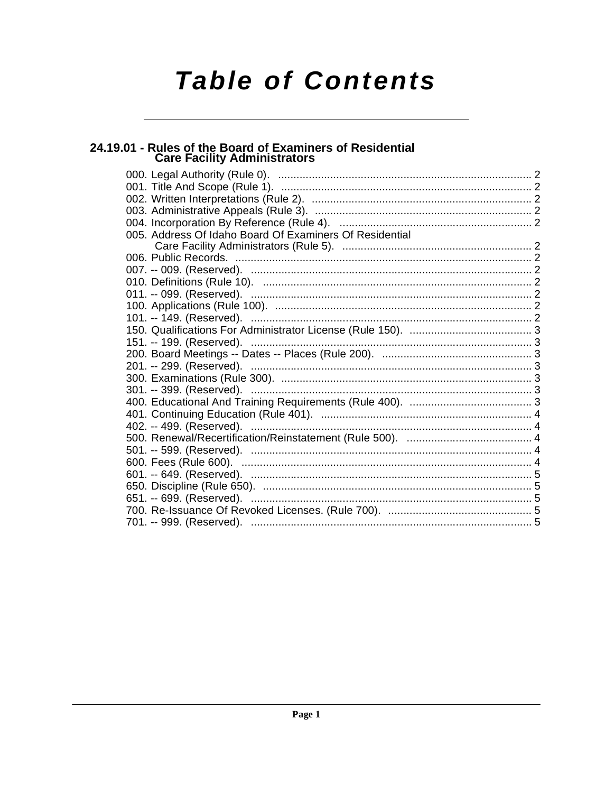# **Table of Contents**

# 24.19.01 - Rules of the Board of Examiners of Residential<br>Care Facility Administrators

| 005. Address Of Idaho Board Of Examiners Of Residential |  |
|---------------------------------------------------------|--|
|                                                         |  |
|                                                         |  |
|                                                         |  |
|                                                         |  |
|                                                         |  |
|                                                         |  |
|                                                         |  |
|                                                         |  |
|                                                         |  |
|                                                         |  |
|                                                         |  |
|                                                         |  |
|                                                         |  |
|                                                         |  |
|                                                         |  |
|                                                         |  |
|                                                         |  |
|                                                         |  |
|                                                         |  |
|                                                         |  |
|                                                         |  |
|                                                         |  |
|                                                         |  |
|                                                         |  |
|                                                         |  |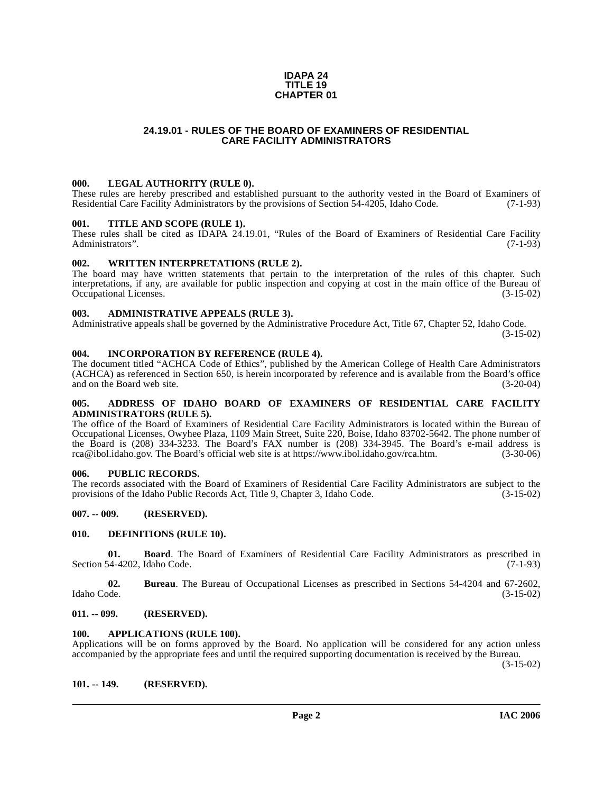#### **IDAPA 24 TITLE 19 CHAPTER 01**

# **24.19.01 - RULES OF THE BOARD OF EXAMINERS OF RESIDENTIAL CARE FACILITY ADMINISTRATORS**

#### <span id="page-1-1"></span><span id="page-1-0"></span>**000. LEGAL AUTHORITY (RULE 0).**

These rules are hereby prescribed and established pursuant to the authority vested in the Board of Examiners of Residential Care Facility Administrators by the provisions of Section 54-4205, Idaho Code. (7-1-93)

#### <span id="page-1-2"></span>**001. TITLE AND SCOPE (RULE 1).**

These rules shall be cited as IDAPA 24.19.01, "Rules of the Board of Examiners of Residential Care Facility Administrators". (7-1-93) Administrators".

#### <span id="page-1-3"></span>**002. WRITTEN INTERPRETATIONS (RULE 2).**

The board may have written statements that pertain to the interpretation of the rules of this chapter. Such interpretations, if any, are available for public inspection and copying at cost in the main office of the Bureau of Occupational Licenses. (3-15-02)

# <span id="page-1-4"></span>**003. ADMINISTRATIVE APPEALS (RULE 3).**

Administrative appeals shall be governed by the Administrative Procedure Act, Title 67, Chapter 52, Idaho Code.

(3-15-02)

#### <span id="page-1-5"></span>**004. INCORPORATION BY REFERENCE (RULE 4).**

The document titled "ACHCA Code of Ethics", published by the American College of Health Care Administrators (ACHCA) as referenced in Section 650, is herein incorporated by reference and is available from the Board's office and on the Board web site. (3-20-04)

#### <span id="page-1-6"></span>**005. ADDRESS OF IDAHO BOARD OF EXAMINERS OF RESIDENTIAL CARE FACILITY ADMINISTRATORS (RULE 5).**

[The office of the Board of Examiners of Residential Care Facility Administrators is located within the Bureau of](mailto:rca@ibol.idaho.gov) Occupational Licenses, Owyhee Plaza, 1109 Main Street, Suite 220, Boise, Idaho 83702-5642. The phone number of the Board is (208) 334-3233. The Board's FAX number is (208) 334-3945. The Board's e-mail address is [rca@ibol.idaho.gov. The Board's official web site is at](mailto:rca@ibol.idaho.gov) [https://www.ibol.idaho.gov/rca.htm. \(3-30-06\)](https://www.ibol.idaho.gov/rca.htm)

#### <span id="page-1-7"></span>**006. PUBLIC RECORDS.**

The records associated with the Board of Examiners of Residential Care Facility Administrators are subject to the provisions of the Idaho Public Records Act, Title 9, Chapter 3, Idaho Code. (3-15-02) provisions of the Idaho Public Records Act, Title 9, Chapter 3, Idaho Code.

# <span id="page-1-8"></span>**007. -- 009. (RESERVED).**

#### <span id="page-1-14"></span><span id="page-1-9"></span>**010. DEFINITIONS (RULE 10).**

**01. Board**. The Board of Examiners of Residential Care Facility Administrators as prescribed in Section 54-4202, Idaho Code. (7-1-93)

**02. Bureau**. The Bureau of Occupational Licenses as prescribed in Sections 54-4204 and 67-2602, Idaho Code. (3-15-02)

# <span id="page-1-10"></span>**011. -- 099. (RESERVED).**

#### <span id="page-1-13"></span><span id="page-1-11"></span>**100. APPLICATIONS (RULE 100).**

Applications will be on forms approved by the Board. No application will be considered for any action unless accompanied by the appropriate fees and until the required supporting documentation is received by the Bureau.

(3-15-02)

# <span id="page-1-12"></span>**101. -- 149. (RESERVED).**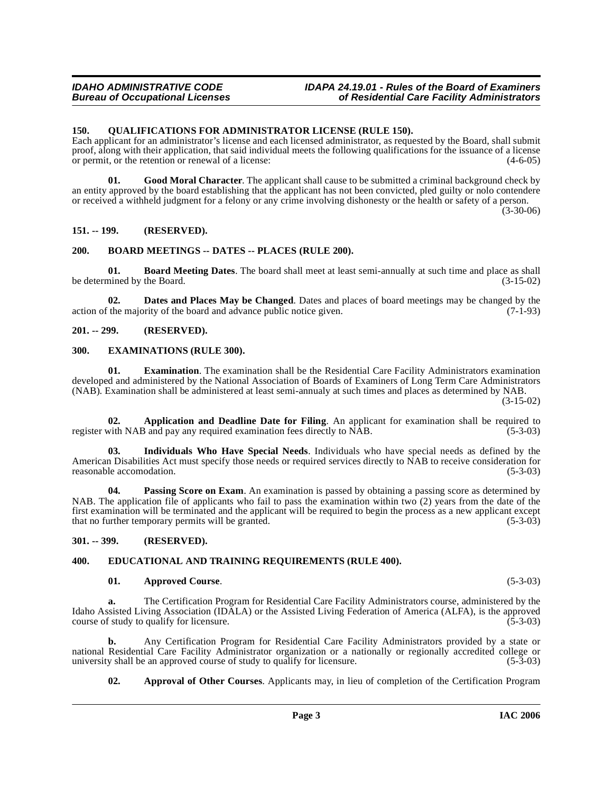# <span id="page-2-17"></span><span id="page-2-0"></span>**150. QUALIFICATIONS FOR ADMINISTRATOR LICENSE (RULE 150).**

Each applicant for an administrator's license and each licensed administrator, as requested by the Board, shall submit proof, along with their application, that said individual meets the following qualifications for the issuance of a license or permit, or the retention or renewal of a license: (4-6-05)

**01. Good Moral Character**. The applicant shall cause to be submitted a criminal background check by an entity approved by the board establishing that the applicant has not been convicted, pled guilty or nolo contendere or received a withheld judgment for a felony or any crime involving dishonesty or the health or safety of a person. (3-30-06)

# <span id="page-2-1"></span>**151. -- 199. (RESERVED).**

#### <span id="page-2-11"></span><span id="page-2-2"></span>**200. BOARD MEETINGS -- DATES -- PLACES (RULE 200).**

<span id="page-2-10"></span>**01. Board Meeting Dates**. The board shall meet at least semi-annually at such time and place as shall be determined by the Board.

<span id="page-2-12"></span>**02. Dates and Places May be Changed**. Dates and places of board meetings may be changed by the action of the majority of the board and advance public notice given.  $(7-1-93)$ 

# <span id="page-2-3"></span>**201. -- 299. (RESERVED).**

#### <span id="page-2-14"></span><span id="page-2-4"></span>**300. EXAMINATIONS (RULE 300).**

**01. Examination**. The examination shall be the Residential Care Facility Administrators examination developed and administered by the National Association of Boards of Examiners of Long Term Care Administrators (NAB). Examination shall be administered at least semi-annualy at such times and places as determined by NAB.

(3-15-02)

<span id="page-2-7"></span>**02. Application and Deadline Date for Filing**. An applicant for examination shall be required to register with NAB and pay any required examination fees directly to NAB. (5-3-03)

<span id="page-2-15"></span>**03. Individuals Who Have Special Needs**. Individuals who have special needs as defined by the American Disabilities Act must specify those needs or required services directly to NAB to receive consideration for reasonable accomodation. (5-3-03) reasonable accomodation.

<span id="page-2-16"></span>**04.** Passing Score on Exam. An examination is passed by obtaining a passing score as determined by NAB. The application file of applicants who fail to pass the examination within two (2) years from the date of the first examination will be terminated and the applicant will be required to begin the process as a new applicant except that no further temporary permits will be granted. (5-3-03)

<span id="page-2-5"></span>**301. -- 399. (RESERVED).**

# <span id="page-2-6"></span>**400. EDUCATIONAL AND TRAINING REQUIREMENTS (RULE 400).**

#### <span id="page-2-13"></span><span id="page-2-9"></span>**01. Approved Course**. (5-3-03)

**a.** The Certification Program for Residential Care Facility Administrators course, administered by the Idaho Assisted Living Association (IDALA) or the Assisted Living Federation of America (ALFA), is the approved course of study to qualify for licensure. course of study to qualify for licensure.

**b.** Any Certification Program for Residential Care Facility Administrators provided by a state or national Residential Care Facility Administrator organization or a nationally or regionally accredited college or<br>university shall be an approved course of study to qualify for licensure. (5-3-03) university shall be an approved course of study to qualify for licensure.

<span id="page-2-8"></span>**02. Approval of Other Courses**. Applicants may, in lieu of completion of the Certification Program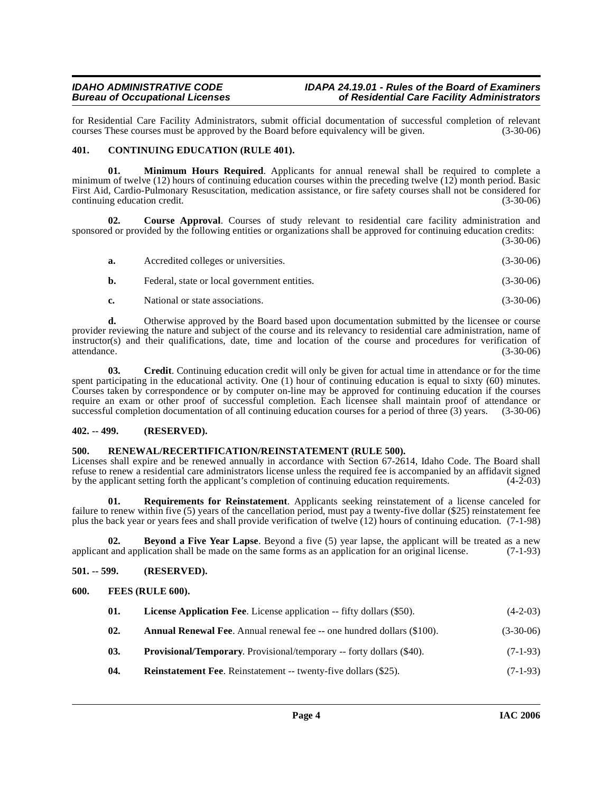for Residential Care Facility Administrators, submit official documentation of successful completion of relevant courses These courses must be approved by the Board before equivalency will be given. (3-30-06) courses These courses must be approved by the Board before equivalency will be given.

# <span id="page-3-7"></span><span id="page-3-0"></span>**401. CONTINUING EDUCATION (RULE 401).**

**01. Minimum Hours Required**. Applicants for annual renewal shall be required to complete a minimum of twelve (12) hours of continuing education courses within the preceding twelve (12) month period. Basic First Aid, Cardio-Pulmonary Resuscitation, medication assistance, or fire safety courses shall not be considered for continuing education credit. (3-30-06)

**02. Course Approval**. Courses of study relevant to residential care facility administration and sponsored or provided by the following entities or organizations shall be approved for continuing education credits: (3-30-06)

| а. | Accredited colleges or universities.         | $(3-30-06)$ |
|----|----------------------------------------------|-------------|
| b. | Federal, state or local government entities. | $(3-30-06)$ |
| e. | National or state associations.              | $(3-30-06)$ |

**d.** Otherwise approved by the Board based upon documentation submitted by the licensee or course provider reviewing the nature and subject of the course and its relevancy to residential care administration, name of instructor(s) and their qualifications, date, time and location of the course and procedures for verification of attendance. (3-30-06)

**03. Credit**. Continuing education credit will only be given for actual time in attendance or for the time spent participating in the educational activity. One (1) hour of continuing education is equal to sixty (60) minutes. Courses taken by correspondence or by computer on-line may be approved for continuing education if the courses require an exam or other proof of successful completion. Each licensee shall maintain proof of attendance or successful completion documentation of all continuing education courses for a period of three (3) years. (3-30-06)

# <span id="page-3-1"></span>**402. -- 499. (RESERVED).**

# <span id="page-3-12"></span><span id="page-3-2"></span>**500. RENEWAL/RECERTIFICATION/REINSTATEMENT (RULE 500).**

Licenses shall expire and be renewed annually in accordance with Section 67-2614, Idaho Code. The Board shall refuse to renew a residential care administrators license unless the required fee is accompanied by an affidavit signed<br>by the applicant setting forth the applicant's completion of continuing education requirements. (4-2-0 by the applicant setting forth the applicant's completion of continuing education requirements.

<span id="page-3-13"></span>**01. Requirements for Reinstatement**. Applicants seeking reinstatement of a license canceled for failure to renew within five (5) years of the cancellation period, must pay a twenty-five dollar (\$25) reinstatement fee plus the back year or years fees and shall provide verification of twelve (12) hours of continuing education. (7-1-98)

<span id="page-3-6"></span>**02. Beyond a Five Year Lapse**. Beyond a five (5) year lapse, the applicant will be treated as a new t and application shall be made on the same forms as an application for an original license. (7-1-93) applicant and application shall be made on the same forms as an application for an original license.

# <span id="page-3-3"></span>**501. -- 599. (RESERVED).**

# <span id="page-3-4"></span>**600. FEES (RULE 600).**

<span id="page-3-9"></span><span id="page-3-8"></span><span id="page-3-5"></span>

| 01.  | <b>License Application Fee.</b> License application -- fifty dollars (\$50).  | $(4-2-03)$  |
|------|-------------------------------------------------------------------------------|-------------|
| -02. | <b>Annual Renewal Fee.</b> Annual renewal fee -- one hundred dollars (\$100). | $(3-30-06)$ |
| 03.  | <b>Provisional/Temporary.</b> Provisional/temporary -- forty dollars (\$40).  | $(7-1-93)$  |

<span id="page-3-11"></span><span id="page-3-10"></span>**04.** Reinstatement Fee. Reinstatement -- twenty-five dollars (\$25). (7-1-93)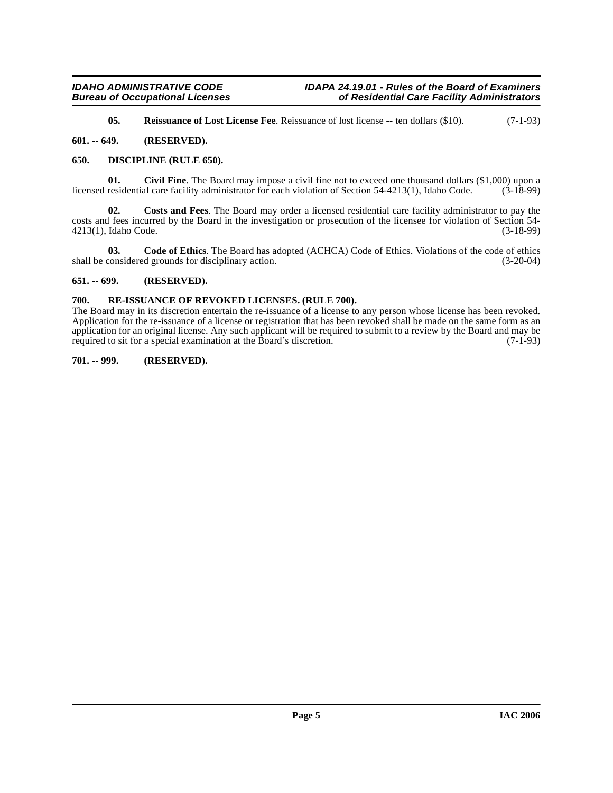<span id="page-4-10"></span><span id="page-4-8"></span><span id="page-4-5"></span>**05.** Reissuance of Lost License Fee. Reissuance of lost license -- ten dollars (\$10). (7-1-93)

# <span id="page-4-0"></span>**601. -- 649. (RESERVED).**

# <span id="page-4-1"></span>**650. DISCIPLINE (RULE 650).**

**01.** Civil Fine. The Board may impose a civil fine not to exceed one thousand dollars (\$1,000) upon a residential care facility administrator for each violation of Section 54-4213(1). Idaho Code. (3-18-99) licensed residential care facility administrator for each violation of Section 54-4213(1), Idaho Code.

<span id="page-4-7"></span>**02. Costs and Fees**. The Board may order a licensed residential care facility administrator to pay the costs and fees incurred by the Board in the investigation or prosecution of the licensee for violation of Section 54- 4213(1), Idaho Code.

<span id="page-4-6"></span>**03. Code of Ethics**. The Board has adopted (ACHCA) Code of Ethics. Violations of the code of ethics shall be considered grounds for disciplinary action. (3-20-04)

# <span id="page-4-2"></span>**651. -- 699. (RESERVED).**

# <span id="page-4-9"></span><span id="page-4-3"></span>**700. RE-ISSUANCE OF REVOKED LICENSES. (RULE 700).**

The Board may in its discretion entertain the re-issuance of a license to any person whose license has been revoked. Application for the re-issuance of a license or registration that has been revoked shall be made on the same form as an application for an original license. Any such applicant will be required to submit to a review by the Board and may be required to sit for a special examination at the Board's discretion. (7-1-93) required to sit for a special examination at the Board's discretion.

# <span id="page-4-4"></span>**701. -- 999. (RESERVED).**